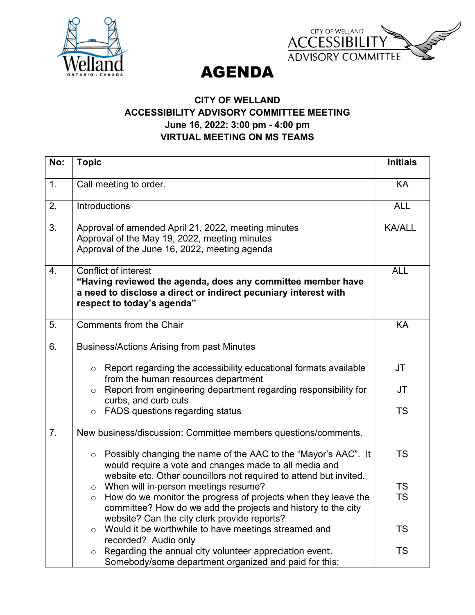



AGENDA

## **CITY OF WELLAND ACCESSIBILITY ADVISORY COMMITTEE MEETING June 16, 2022: 3:00 pm - 4:00 pm VIRTUAL MEETING ON MS TEAMS**

| No: | <b>Topic</b>                                                                                                                                                                                              | <b>Initials</b> |
|-----|-----------------------------------------------------------------------------------------------------------------------------------------------------------------------------------------------------------|-----------------|
| 1.  | Call meeting to order.                                                                                                                                                                                    | KA              |
| 2.  | Introductions                                                                                                                                                                                             | <b>ALL</b>      |
| 3.  | Approval of amended April 21, 2022, meeting minutes<br>Approval of the May 19, 2022, meeting minutes<br>Approval of the June 16, 2022, meeting agenda                                                     | <b>KA/ALL</b>   |
| 4.  | Conflict of interest<br>"Having reviewed the agenda, does any committee member have<br>a need to disclose a direct or indirect pecuniary interest with<br>respect to today's agenda"                      | <b>ALL</b>      |
| 5.  | Comments from the Chair                                                                                                                                                                                   | <b>KA</b>       |
| 6.  | <b>Business/Actions Arising from past Minutes</b>                                                                                                                                                         |                 |
|     | Report regarding the accessibility educational formats available<br>$\circ$<br>from the human resources department                                                                                        | JT              |
|     | Report from engineering department regarding responsibility for<br>$\circ$<br>curbs, and curb cuts                                                                                                        | JT              |
|     | FADS questions regarding status<br>$\circ$                                                                                                                                                                | <b>TS</b>       |
| 7.  | New business/discussion: Committee members questions/comments.                                                                                                                                            |                 |
|     | Possibly changing the name of the AAC to the "Mayor's AAC". It<br>$\circ$<br>would require a vote and changes made to all media and<br>website etc. Other councillors not required to attend but invited. | TS              |
|     | When will in-person meetings resume?<br>$\circ$                                                                                                                                                           | <b>TS</b>       |
|     | How do we monitor the progress of projects when they leave the<br>$\circ$<br>committee? How do we add the projects and history to the city<br>website? Can the city clerk provide reports?                | <b>TS</b>       |
|     | Would it be worthwhile to have meetings streamed and<br>$\circ$<br>recorded? Audio only                                                                                                                   | TS              |
|     | Regarding the annual city volunteer appreciation event.<br>$\circ$<br>Somebody/some department organized and paid for this;                                                                               | <b>TS</b>       |